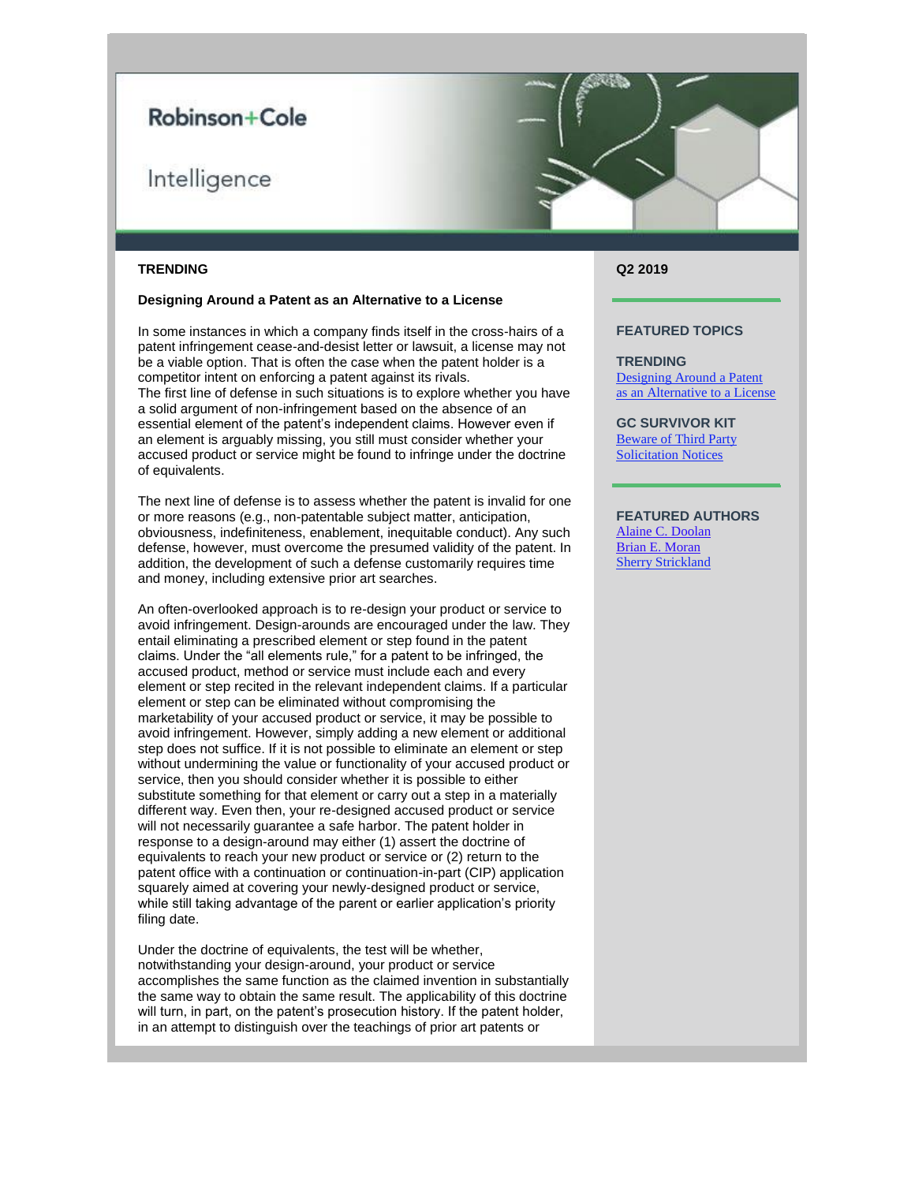# Robinson+Cole

# Intelligence

### **TRENDING**

### **Designing Around a Patent as an Alternative to a License**

In some instances in which a company finds itself in the cross-hairs of a patent infringement cease-and-desist letter or lawsuit, a license may not be a viable option. That is often the case when the patent holder is a competitor intent on enforcing a patent against its rivals. The first line of defense in such situations is to explore whether you have a solid argument of non-infringement based on the absence of an essential element of the patent's independent claims. However even if an element is arguably missing, you still must consider whether your accused product or service might be found to infringe under the doctrine of equivalents.

The next line of defense is to assess whether the patent is invalid for one or more reasons (e.g., non-patentable subject matter, anticipation, obviousness, indefiniteness, enablement, inequitable conduct). Any such defense, however, must overcome the presumed validity of the patent. In addition, the development of such a defense customarily requires time and money, including extensive prior art searches.

An often-overlooked approach is to re-design your product or service to avoid infringement. Design-arounds are encouraged under the law. They entail eliminating a prescribed element or step found in the patent claims. Under the "all elements rule," for a patent to be infringed, the accused product, method or service must include each and every element or step recited in the relevant independent claims. If a particular element or step can be eliminated without compromising the marketability of your accused product or service, it may be possible to avoid infringement. However, simply adding a new element or additional step does not suffice. If it is not possible to eliminate an element or step without undermining the value or functionality of your accused product or service, then you should consider whether it is possible to either substitute something for that element or carry out a step in a materially different way. Even then, your re-designed accused product or service will not necessarily guarantee a safe harbor. The patent holder in response to a design-around may either (1) assert the doctrine of equivalents to reach your new product or service or (2) return to the patent office with a continuation or continuation-in-part (CIP) application squarely aimed at covering your newly-designed product or service, while still taking advantage of the parent or earlier application's priority filing date.

Under the doctrine of equivalents, the test will be whether, notwithstanding your design-around, your product or service accomplishes the same function as the claimed invention in substantially the same way to obtain the same result. The applicability of this doctrine will turn, in part, on the patent's prosecution history. If the patent holder, in an attempt to distinguish over the teachings of prior art patents or

## **Q2 2019**

#### **FEATURED TOPICS**

**TRENDING** [Designing Around a Patent](https://protect-us.mimecast.com/s/qBneCrkpG6CAnNO5fyq13G?domain=files.constantcontact.com)  [as an Alternative to a License](https://protect-us.mimecast.com/s/qBneCrkpG6CAnNO5fyq13G?domain=files.constantcontact.com)

**GC SURVIVOR KIT** [Beware of Third Party](https://protect-us.mimecast.com/s/bNzwCv2wMkSWLBZDCoD8zf?domain=files.constantcontact.com)  [Solicitation Notices](https://protect-us.mimecast.com/s/bNzwCv2wMkSWLBZDCoD8zf?domain=files.constantcontact.com)

## **FEATURED AUTHORS**

[Alaine C. Doolan](https://protect-us.mimecast.com/s/akG3CwpxNlHLVOnDC8NodK?domain=rc.com) [Brian E. Moran](https://protect-us.mimecast.com/s/UhUvCxky0mCJRGj2F2U-OF?domain=rc.com) [Sherry Strickland](mailto:sstrickland@rc.com)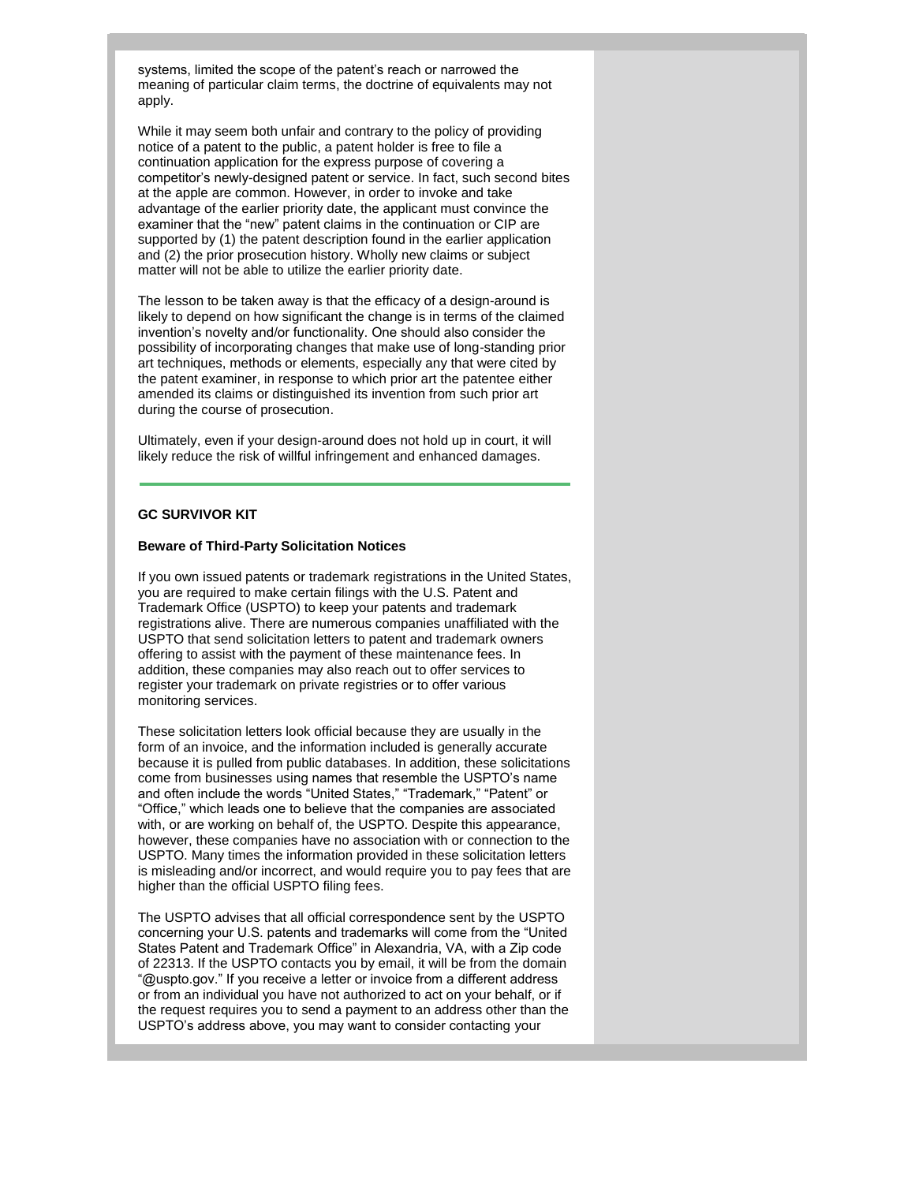systems, limited the scope of the patent's reach or narrowed the meaning of particular claim terms, the doctrine of equivalents may not apply.

While it may seem both unfair and contrary to the policy of providing notice of a patent to the public, a patent holder is free to file a continuation application for the express purpose of covering a competitor's newly-designed patent or service. In fact, such second bites at the apple are common. However, in order to invoke and take advantage of the earlier priority date, the applicant must convince the examiner that the "new" patent claims in the continuation or CIP are supported by (1) the patent description found in the earlier application and (2) the prior prosecution history. Wholly new claims or subject matter will not be able to utilize the earlier priority date.

The lesson to be taken away is that the efficacy of a design-around is likely to depend on how significant the change is in terms of the claimed invention's novelty and/or functionality. One should also consider the possibility of incorporating changes that make use of long-standing prior art techniques, methods or elements, especially any that were cited by the patent examiner, in response to which prior art the patentee either amended its claims or distinguished its invention from such prior art during the course of prosecution.

Ultimately, even if your design-around does not hold up in court, it will likely reduce the risk of willful infringement and enhanced damages.

## **GC SURVIVOR KIT**

#### **Beware of Third-Party Solicitation Notices**

If you own issued patents or trademark registrations in the United States, you are required to make certain filings with the U.S. Patent and Trademark Office (USPTO) to keep your patents and trademark registrations alive. There are numerous companies unaffiliated with the USPTO that send solicitation letters to patent and trademark owners offering to assist with the payment of these maintenance fees. In addition, these companies may also reach out to offer services to register your trademark on private registries or to offer various monitoring services.

These solicitation letters look official because they are usually in the form of an invoice, and the information included is generally accurate because it is pulled from public databases. In addition, these solicitations come from businesses using names that resemble the USPTO's name and often include the words "United States," "Trademark," "Patent" or "Office," which leads one to believe that the companies are associated with, or are working on behalf of, the USPTO. Despite this appearance, however, these companies have no association with or connection to the USPTO. Many times the information provided in these solicitation letters is misleading and/or incorrect, and would require you to pay fees that are higher than the official USPTO filing fees.

The USPTO advises that all official correspondence sent by the USPTO concerning your U.S. patents and trademarks will come from the "United States Patent and Trademark Office" in Alexandria, VA, with a Zip code of 22313. If the USPTO contacts you by email, it will be from the domain "@uspto.gov." If you receive a letter or invoice from a different address or from an individual you have not authorized to act on your behalf, or if the request requires you to send a payment to an address other than the USPTO's address above, you may want to consider contacting your